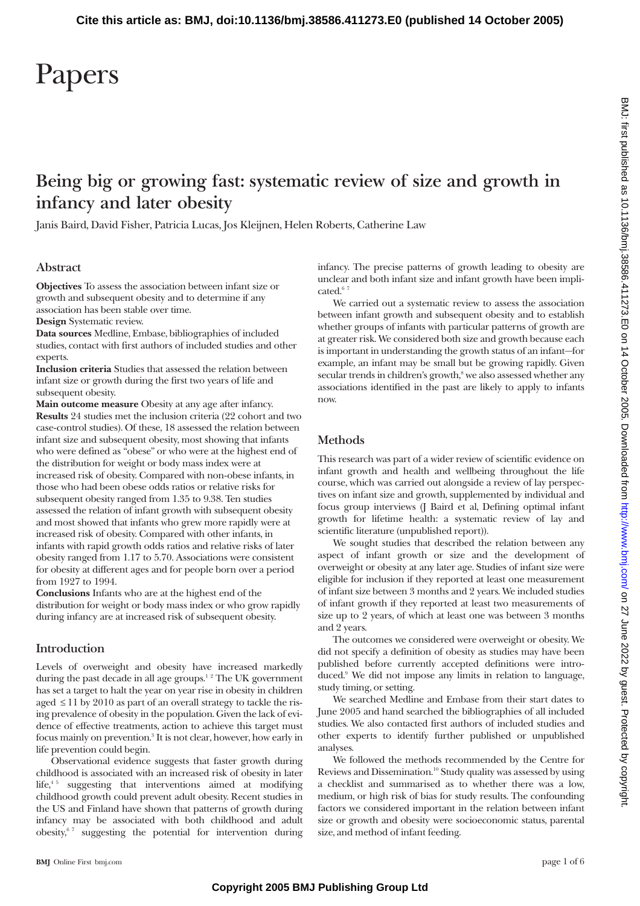# **Being big or growing fast: systematic review of size and growth in infancy and later obesity**

Janis Baird, David Fisher, Patricia Lucas, Jos Kleijnen, Helen Roberts, Catherine Law

## **Abstract**

**Objectives** To assess the association between infant size or growth and subsequent obesity and to determine if any association has been stable over time.

**Design** Systematic review.

**Data sources** Medline, Embase, bibliographies of included studies, contact with first authors of included studies and other experts.

**Inclusion criteria** Studies that assessed the relation between infant size or growth during the first two years of life and subsequent obesity.

**Main outcome measure** Obesity at any age after infancy. **Results** 24 studies met the inclusion criteria (22 cohort and two case-control studies). Of these, 18 assessed the relation between infant size and subsequent obesity, most showing that infants who were defined as "obese" or who were at the highest end of the distribution for weight or body mass index were at increased risk of obesity. Compared with non-obese infants, in those who had been obese odds ratios or relative risks for subsequent obesity ranged from 1.35 to 9.38. Ten studies assessed the relation of infant growth with subsequent obesity and most showed that infants who grew more rapidly were at increased risk of obesity. Compared with other infants, in infants with rapid growth odds ratios and relative risks of later obesity ranged from 1.17 to 5.70. Associations were consistent for obesity at different ages and for people born over a period from 1927 to 1994.

**Conclusions** Infants who are at the highest end of the distribution for weight or body mass index or who grow rapidly during infancy are at increased risk of subsequent obesity.

## **Introduction**

Levels of overweight and obesity have increased markedly during the past decade in all age groups.<sup>12</sup> The UK government has set a target to halt the year on year rise in obesity in children aged  $\leq$  11 by 2010 as part of an overall strategy to tackle the rising prevalence of obesity in the population. Given the lack of evidence of effective treatments, action to achieve this target must focus mainly on prevention.3 It is not clear, however, how early in life prevention could begin.

Observational evidence suggests that faster growth during childhood is associated with an increased risk of obesity in later life, $45$  suggesting that interventions aimed at modifying childhood growth could prevent adult obesity. Recent studies in the US and Finland have shown that patterns of growth during infancy may be associated with both childhood and adult obesity,<sup>67</sup> suggesting the potential for intervention during infancy. The precise patterns of growth leading to obesity are unclear and both infant size and infant growth have been implicated. $67$ 

We carried out a systematic review to assess the association between infant growth and subsequent obesity and to establish whether groups of infants with particular patterns of growth are at greater risk. We considered both size and growth because each is important in understanding the growth status of an infant—for example, an infant may be small but be growing rapidly. Given secular trends in children's growth,<sup>8</sup> we also assessed whether any associations identified in the past are likely to apply to infants now.

# **Methods**

This research was part of a wider review of scientific evidence on infant growth and health and wellbeing throughout the life course, which was carried out alongside a review of lay perspectives on infant size and growth, supplemented by individual and focus group interviews (J Baird et al, Defining optimal infant growth for lifetime health: a systematic review of lay and scientific literature (unpublished report)).

We sought studies that described the relation between any aspect of infant growth or size and the development of overweight or obesity at any later age. Studies of infant size were eligible for inclusion if they reported at least one measurement of infant size between 3 months and 2 years. We included studies of infant growth if they reported at least two measurements of size up to 2 years, of which at least one was between 3 months and 2 years.

The outcomes we considered were overweight or obesity. We did not specify a definition of obesity as studies may have been published before currently accepted definitions were introduced.<sup>9</sup> We did not impose any limits in relation to language, study timing, or setting.

We searched Medline and Embase from their start dates to June 2005 and hand searched the bibliographies of all included studies. We also contacted first authors of included studies and other experts to identify further published or unpublished analyses.

We followed the methods recommended by the Centre for Reviews and Dissemination.10 Study quality was assessed by using a checklist and summarised as to whether there was a low, medium, or high risk of bias for study results. The confounding factors we considered important in the relation between infant size or growth and obesity were socioeconomic status, parental size, and method of infant feeding.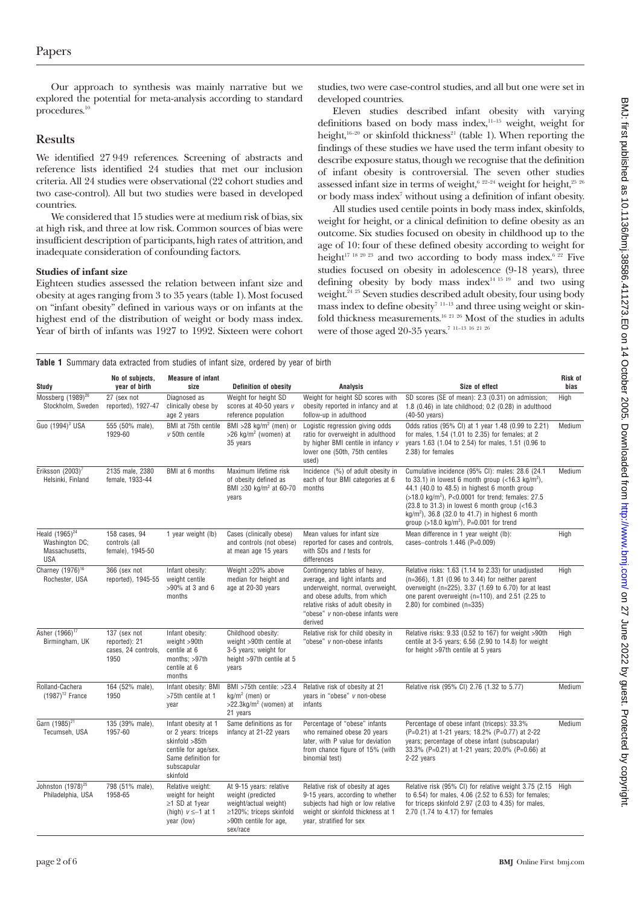Our approach to synthesis was mainly narrative but we explored the potential for meta-analysis according to standard procedures.<sup>10</sup>

## **Results**

We identified 27 949 references. Screening of abstracts and reference lists identified 24 studies that met our inclusion criteria. All 24 studies were observational (22 cohort studies and two case-control). All but two studies were based in developed countries.

We considered that 15 studies were at medium risk of bias, six at high risk, and three at low risk. Common sources of bias were insufficient description of participants, high rates of attrition, and inadequate consideration of confounding factors.

## **Studies of infant size**

Eighteen studies assessed the relation between infant size and obesity at ages ranging from 3 to 35 years (table 1). Most focused on "infant obesity" defined in various ways or on infants at the highest end of the distribution of weight or body mass index. Year of birth of infants was 1927 to 1992. Sixteen were cohort studies, two were case-control studies, and all but one were set in developed countries.

Eleven studies described infant obesity with varying definitions based on body mass index, $11-15$  weight, weight for height, $16-20$  or skinfold thickness<sup>21</sup> (table 1). When reporting the findings of these studies we have used the term infant obesity to describe exposure status, though we recognise that the definition of infant obesity is controversial. The seven other studies assessed infant size in terms of weight, $6^{22-24}$  weight for height, $2^{5\ 26}$ or body mass index<sup>7</sup> without using a definition of infant obesity.

All studies used centile points in body mass index, skinfolds, weight for height, or a clinical definition to define obesity as an outcome. Six studies focused on obesity in childhood up to the age of 10: four of these defined obesity according to weight for height<sup>17 18 20 23</sup> and two according to body mass index.<sup>6 22</sup> Five studies focused on obesity in adolescence (9-18 years), three defining obesity by body mass index $14$  15 19 and two using weight.<sup>24 25</sup> Seven studies described adult obesity, four using body mass index to define obesity<sup>7 11-13</sup> and three using weight or skinfold thickness measurements.<sup>16 21 26</sup> Most of the studies in adults were of those aged 20-35 years.<sup>7 11-13 16 21 26</sup>

|  | <b>Table 1</b> Summary data extracted from studies of infant size, ordered by year of birth |  |  |  |  |  |
|--|---------------------------------------------------------------------------------------------|--|--|--|--|--|

| <b>Study</b>                                                          | No of subjects,<br>year of birth                             | <b>Measure of infant</b><br>size                                                                                                       | <b>Definition of obesity</b>                                                                                                                 | <b>Analysis</b>                                                                                                                                                                                                         | Size of effect                                                                                                                                                                                                                                                                                                                                                                                              | <b>Risk of</b><br>bias |
|-----------------------------------------------------------------------|--------------------------------------------------------------|----------------------------------------------------------------------------------------------------------------------------------------|----------------------------------------------------------------------------------------------------------------------------------------------|-------------------------------------------------------------------------------------------------------------------------------------------------------------------------------------------------------------------------|-------------------------------------------------------------------------------------------------------------------------------------------------------------------------------------------------------------------------------------------------------------------------------------------------------------------------------------------------------------------------------------------------------------|------------------------|
| Mossberg (1989) <sup>26</sup><br>Stockholm, Sweden                    | 27 (sex not<br>reported), 1927-47                            | Diagnosed as<br>clinically obese by<br>age 2 years                                                                                     | Weight for height SD<br>scores at 40-50 years v<br>reference population                                                                      | Weight for height SD scores with<br>obesity reported in infancy and at<br>follow-up in adulthood                                                                                                                        | SD scores (SE of mean): 2.3 (0.31) on admission;<br>1.8 (0.46) in late childhood; 0.2 (0.28) in adulthood<br>(40-50 years)                                                                                                                                                                                                                                                                                  | High                   |
| Guo (1994) <sup>3</sup> USA                                           | 555 (50% male),<br>1929-60                                   | BMI at 75th centile<br>$v$ 50th centile                                                                                                | BMI >28 kg/m <sup>2</sup> (men) or<br>$>$ 26 kg/m <sup>2</sup> (women) at<br>35 years                                                        | Logistic regression giving odds<br>ratio for overweight in adulthood<br>by higher BMI centile in infancy v<br>lower one (50th, 75th centiles<br>used)                                                                   | Odds ratios (95% CI) at 1 year 1.48 (0.99 to 2.21)<br>for males, 1.54 (1.01 to 2.35) for females; at 2<br>years 1.63 (1.04 to 2.54) for males, 1.51 (0.96 to<br>2.38) for females                                                                                                                                                                                                                           | Medium                 |
| Eriksson $(2003)^7$<br>Helsinki, Finland                              | 2135 male, 2380<br>female, 1933-44                           | BMI at 6 months                                                                                                                        | Maximum lifetime risk<br>of obesity defined as<br>BMI $\geq$ 30 kg/m <sup>2</sup> at 60-70<br>years                                          | Incidence (%) of adult obesity in<br>each of four BMI categories at 6<br>months                                                                                                                                         | Cumulative incidence (95% CI): males: 28.6 (24.1)<br>to 33.1) in lowest 6 month group $\left($ <16.3 kg/m <sup>2</sup> ).<br>44.1 (40.0 to 48.5) in highest 6 month group<br>(>18.0 kg/m <sup>2</sup> ), P<0.0001 for trend; females: 27.5<br>$(23.8$ to 31.3) in lowest 6 month group $(<16.3$<br>$kg/m2$ ), 36.8 (32.0 to 41.7) in highest 6 month<br>group (>18.0 kg/m <sup>2</sup> ), P=0.001 for trend | Medium                 |
| Heald $(1965)^{24}$<br>Washington DC;<br>Massachusetts,<br><b>USA</b> | 158 cases, 94<br>controls (all<br>female), 1945-50           | 1 year weight (lb)                                                                                                                     | Cases (clinically obese)<br>and controls (not obese)<br>at mean age 15 years                                                                 | Mean values for infant size<br>reported for cases and controls,<br>with SDs and t tests for<br>differences                                                                                                              | Mean difference in 1 year weight (lb):<br>cases-controls 1.446 (P=0.009)                                                                                                                                                                                                                                                                                                                                    | High                   |
| Charney (1976) <sup>16</sup><br>Rochester, USA                        | 366 (sex not<br>reported), 1945-55                           | Infant obesity:<br>weight centile<br>>90% at 3 and 6<br>months                                                                         | Weight ≥20% above<br>median for height and<br>age at 20-30 years                                                                             | Contingency tables of heavy,<br>average, and light infants and<br>underweight, normal, overweight,<br>and obese adults, from which<br>relative risks of adult obesity in<br>"obese" v non-obese infants were<br>derived | Relative risks: 1.63 (1.14 to 2.33) for unadjusted<br>$(n=366)$ , 1.81 (0.96 to 3.44) for neither parent<br>overweight (n=225), 3.37 (1.69 to 6.70) for at least<br>one parent overweight (n=110), and 2.51 (2.25 to<br>$2.80$ ) for combined (n=335)                                                                                                                                                       | High                   |
| Asher (1966) <sup>17</sup><br>Birmingham, UK                          | 137 (sex not<br>reported): 21<br>cases, 24 controls,<br>1950 | Infant obesity:<br>weight >90th<br>centile at 6<br>months; >97th<br>centile at 6<br>months                                             | Childhood obesity:<br>weight >90th centile at<br>3-5 years; weight for<br>height >97th centile at 5<br>years                                 | Relative risk for child obesity in<br>"obese" v non-obese infants                                                                                                                                                       | Relative risks: 9.33 (0.52 to 167) for weight >90th<br>centile at 3-5 years; 6.56 (2.90 to 14.8) for weight<br>for height >97th centile at 5 years                                                                                                                                                                                                                                                          | High                   |
| Rolland-Cachera<br>$(1987)^{12}$ France                               | 164 (52% male),<br>1950                                      | Infant obesity: BMI<br>>75th centile at 1<br>year                                                                                      | BMI >75th centile: >23.4<br>$kq/m^2$ (men) or<br>>22.3kg/ $m2$ (women) at<br>21 years                                                        | Relative risk of obesity at 21<br>years in "obese" v non-obese<br>infants                                                                                                                                               | Relative risk (95% CI) 2.76 (1.32 to 5.77)                                                                                                                                                                                                                                                                                                                                                                  | Medium                 |
| Garn (1985) <sup>21</sup><br>Tecumseh, USA                            | 135 (39% male),<br>1957-60                                   | Infant obesity at 1<br>or 2 years: triceps<br>skinfold >85th<br>centile for age/sex.<br>Same definition for<br>subscapular<br>skinfold | Same definitions as for<br>infancy at 21-22 years                                                                                            | Percentage of "obese" infants<br>who remained obese 20 years<br>later, with P value for deviation<br>from chance figure of 15% (with<br>binomial test)                                                                  | Percentage of obese infant (triceps): 33.3%<br>(P=0.21) at 1-21 years; 18.2% (P=0.77) at 2-22<br>years; percentage of obese infant (subscapular)<br>33.3% (P=0.21) at 1-21 years; 20.0% (P=0.66) at<br>2-22 years                                                                                                                                                                                           | Medium                 |
| Johnston (1978) <sup>25</sup><br>Philadelphia, USA                    | 798 (51% male),<br>1958-65                                   | Relative weight:<br>weight for height<br>$\geq$ 1 SD at 1year<br>(high) $v \le -1$ at 1<br>year (low)                                  | At 9-15 years: relative<br>weight (predicted<br>weight/actual weight)<br>$\geq$ 120%; triceps skinfold<br>>90th centile for age,<br>sex/race | Relative risk of obesity at ages<br>9-15 years, according to whether<br>subjects had high or low relative<br>weight or skinfold thickness at 1<br>year, stratified for sex                                              | Relative risk (95% CI) for relative weight 3.75 (2.15 High<br>to 6.54) for males, 4.06 (2.52 to 6.53) for females;<br>for triceps skinfold 2.97 (2.03 to 4.35) for males,<br>2.70 (1.74 to 4.17) for females                                                                                                                                                                                                |                        |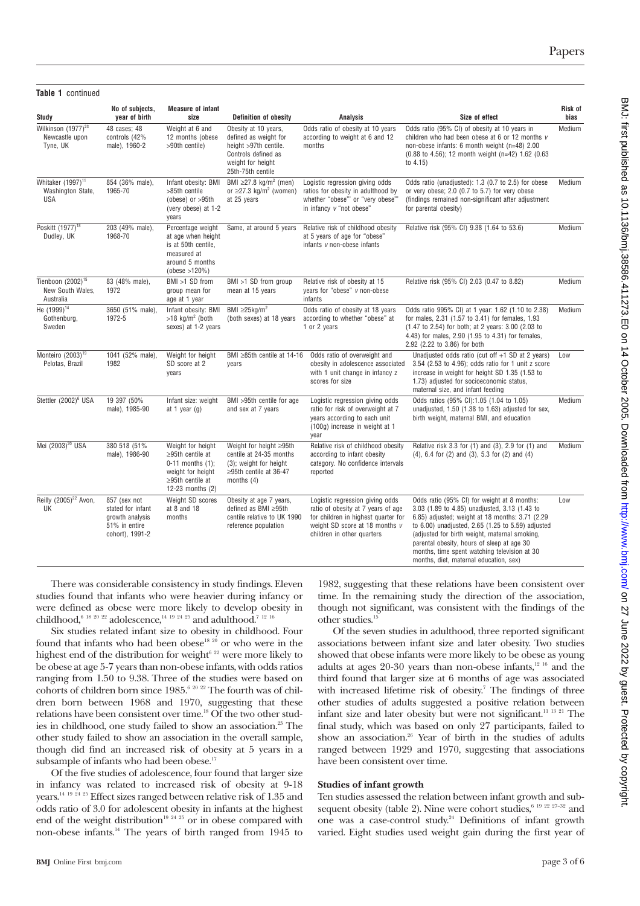| Table 1 continued                                                |                                                                                          |                                                                                                                                         |                                                                                                                                         |                                                                                                                                                                                  |                                                                                                                                                                                                                                                                                                                                                                                                |                 |
|------------------------------------------------------------------|------------------------------------------------------------------------------------------|-----------------------------------------------------------------------------------------------------------------------------------------|-----------------------------------------------------------------------------------------------------------------------------------------|----------------------------------------------------------------------------------------------------------------------------------------------------------------------------------|------------------------------------------------------------------------------------------------------------------------------------------------------------------------------------------------------------------------------------------------------------------------------------------------------------------------------------------------------------------------------------------------|-----------------|
| Study                                                            | No of subjects,<br>year of birth                                                         | <b>Measure of infant</b><br>size                                                                                                        | <b>Definition of obesity</b>                                                                                                            | <b>Analysis</b>                                                                                                                                                                  | Size of effect                                                                                                                                                                                                                                                                                                                                                                                 | Risk of<br>bias |
| Wilkinson (1977) <sup>23</sup><br>Newcastle upon<br>Tyne, UK     | 48 cases; 48<br>controls (42%<br>male), 1960-2                                           | Weight at 6 and<br>12 months (obese<br>>90th centile)                                                                                   | Obesity at 10 years,<br>defined as weight for<br>height >97th centile.<br>Controls defined as<br>weight for height<br>25th-75th centile | Odds ratio of obesity at 10 years<br>according to weight at 6 and 12<br>months                                                                                                   | Odds ratio (95% CI) of obesity at 10 years in<br>children who had been obese at 6 or 12 months v<br>non-obese infants: 6 month weight (n=48) 2.00<br>(0.88 to 4.56); 12 month weight (n=42) 1.62 (0.63<br>to $4.15$ )                                                                                                                                                                          | Medium          |
| Whitaker (1997) <sup>11</sup><br>Washington State,<br><b>USA</b> | 854 (36% male),<br>1965-70                                                               | Infant obesity: BMI<br>>85th centile<br>(obese) or >95th<br>(very obese) at 1-2<br>years                                                | BMI $\geq$ 27.8 kg/m <sup>2</sup> (men)<br>or $\geq$ 27.3 kg/m <sup>2</sup> (women)<br>at 25 years                                      | Logistic regression giving odds<br>ratios for obesity in adulthood by<br>whether "obese" or "very obese"'<br>in infancy v "not obese"                                            | Odds ratio (unadjusted): 1.3 (0.7 to 2.5) for obese<br>or very obese; 2.0 (0.7 to 5.7) for very obese<br>(findings remained non-significant after adjustment<br>for parental obesity)                                                                                                                                                                                                          | Medium          |
| Poskitt (1977) <sup>18</sup><br>Dudley, UK                       | 203 (49% male),<br>1968-70                                                               | Percentage weight<br>at age when height<br>is at 50th centile.<br>measured at<br>around 5 months<br>(obese > 120%)                      | Same, at around 5 years                                                                                                                 | Relative risk of childhood obesity<br>at 5 years of age for "obese"<br>infants v non-obese infants                                                                               | Relative risk (95% CI) 9.38 (1.64 to 53.6)                                                                                                                                                                                                                                                                                                                                                     | Medium          |
| Tienboon (2002) <sup>15</sup><br>New South Wales,<br>Australia   | 83 (48% male),<br>1972                                                                   | BMI >1 SD from<br>group mean for<br>age at 1 year                                                                                       | BMI >1 SD from group<br>mean at 15 years                                                                                                | Relative risk of obesity at 15<br>years for "obese" v non-obese<br>infants                                                                                                       | Relative risk (95% CI) 2.03 (0.47 to 8.82)                                                                                                                                                                                                                                                                                                                                                     | Medium          |
| He (1999) <sup>14</sup><br>Gothenburg,<br>Sweden                 | 3650 (51% male),<br>1972-5                                                               | Infant obesity: BMI<br>$>18$ kg/m <sup>2</sup> (both<br>sexes) at 1-2 years                                                             | BMI $\geq$ 25kg/m <sup>2</sup><br>(both sexes) at 18 years                                                                              | Odds ratio of obesity at 18 years<br>according to whether "obese" at<br>1 or 2 years                                                                                             | Odds ratio 995% CI) at 1 year: 1.62 (1.10 to 2.38)<br>for males, 2.31 (1.57 to 3.41) for females, 1.93<br>(1.47 to 2.54) for both; at 2 years: 3.00 (2.03 to<br>4.43) for males, 2.90 (1.95 to 4.31) for females,<br>2.92 (2.22 to 3.86) for both                                                                                                                                              | Medium          |
| Monteiro (2003) <sup>19</sup><br>Pelotas, Brazil                 | 1041 (52% male),<br>1982                                                                 | Weight for height<br>SD score at 2<br>vears                                                                                             | BMI $\geq$ 85th centile at 14-16<br>vears                                                                                               | Odds ratio of overweight and<br>obesity in adolescence associated<br>with 1 unit change in infancy z<br>scores for size                                                          | Unadjusted odds ratio (cut off $+1$ SD at 2 years)<br>3.54 (2.53 to 4.96); odds ratio for 1 unit z score<br>increase in weight for height SD 1.35 (1.53 to<br>1.73) adjusted for socioeconomic status,<br>maternal size, and infant feeding                                                                                                                                                    | Low             |
| Stettler (2002) <sup>6</sup> USA                                 | 19 397 (50%<br>male), 1985-90                                                            | Infant size: weight<br>at 1 year $(g)$                                                                                                  | BMI >95th centile for age<br>and sex at 7 years                                                                                         | Logistic regression giving odds<br>ratio for risk of overweight at 7<br>years according to each unit<br>(100g) increase in weight at 1<br>vear                                   | Odds ratios (95% CI):1.05 (1.04 to 1.05)<br>unadjusted, 1.50 (1.38 to 1.63) adjusted for sex,<br>birth weight, maternal BMI, and education                                                                                                                                                                                                                                                     | Medium          |
| Mei (2003) <sup>20</sup> USA                                     | 380 518 (51%<br>male), 1986-90                                                           | Weight for height<br>$\geq$ 95th centile at<br>$0-11$ months $(1)$ ;<br>weight for height<br>$\geq$ 95th centile at<br>12-23 months (2) | Weight for height ≥95th<br>centile at 24-35 months<br>(3); weight for height<br>$\geq$ 95th centile at 36-47<br>months $(4)$            | Relative risk of childhood obesity<br>according to infant obesity<br>category. No confidence intervals<br>reported                                                               | Relative risk 3.3 for (1) and (3), 2.9 for (1) and<br>$(4)$ , 6.4 for $(2)$ and $(3)$ , 5.3 for $(2)$ and $(4)$                                                                                                                                                                                                                                                                                | Medium          |
| Reilly (2005) <sup>22</sup> Avon,<br>UK                          | 857 (sex not<br>stated for infant<br>growth analysis<br>51% in entire<br>cohort), 1991-2 | Weight SD scores<br>at 8 and 18<br>months                                                                                               | Obesity at age 7 years,<br>defined as BMI ≥95th<br>centile relative to UK 1990<br>reference population                                  | Logistic regression giving odds<br>ratio of obesity at 7 years of age<br>for children in highest quarter for<br>weight SD score at 18 months $\nu$<br>children in other quarters | Odds ratio (95% CI) for weight at 8 months:<br>3.03 (1.89 to 4.85) unadjusted, 3.13 (1.43 to<br>6.85) adjusted; weight at 18 months: 3.71 (2.29)<br>to 6.00) unadjusted, 2.65 (1.25 to 5.59) adjusted<br>(adjusted for birth weight, maternal smoking,<br>parental obesity, hours of sleep at age 30<br>months, time spent watching television at 30<br>months, diet, maternal education, sex) | Low             |

There was considerable consistency in study findings. Eleven studies found that infants who were heavier during infancy or were defined as obese were more likely to develop obesity in childhood.<sup>6 18 20 22</sup> adolescence.<sup>14 19 24 25</sup> and adulthood.<sup>7 12 16</sup>

Six studies related infant size to obesity in childhood. Four found that infants who had been obese<sup>18 20</sup> or who were in the highest end of the distribution for weight $6^{22}$  were more likely to be obese at age 5-7 years than non-obese infants, with odds ratios ranging from 1.50 to 9.38. Three of the studies were based on cohorts of children born since 1985.6 20 22 The fourth was of children born between 1968 and 1970, suggesting that these relations have been consistent over time.<sup>18</sup> Of the two other studies in childhood, one study failed to show an association.<sup>23</sup> The other study failed to show an association in the overall sample, though did find an increased risk of obesity at 5 years in a subsample of infants who had been obese.<sup>17</sup>

Of the five studies of adolescence, four found that larger size in infancy was related to increased risk of obesity at 9-18 years.<sup>14 19 24 25</sup> Effect sizes ranged between relative risk of 1.35 and odds ratio of 3.0 for adolescent obesity in infants at the highest end of the weight distribution<sup>19 24 25</sup> or in obese compared with non-obese infants.14 The years of birth ranged from 1945 to

1982, suggesting that these relations have been consistent over time. In the remaining study the direction of the association, though not significant, was consistent with the findings of the other studies.15

Of the seven studies in adulthood, three reported significant associations between infant size and later obesity. Two studies showed that obese infants were more likely to be obese as young adults at ages  $20-30$  years than non-obese infants, $12\frac{16}{16}$  and the third found that larger size at 6 months of age was associated with increased lifetime risk of obesity.<sup>7</sup> The findings of three other studies of adults suggested a positive relation between infant size and later obesity but were not significant.11 13 21 The final study, which was based on only 27 participants, failed to show an association.<sup>26</sup> Year of birth in the studies of adults ranged between 1929 and 1970, suggesting that associations have been consistent over time.

#### **Studies of infant growth**

Ten studies assessed the relation between infant growth and subsequent obesity (table 2). Nine were cohort studies,<sup>6 19 22 27-32</sup> and one was a case-control study.24 Definitions of infant growth varied. Eight studies used weight gain during the first year of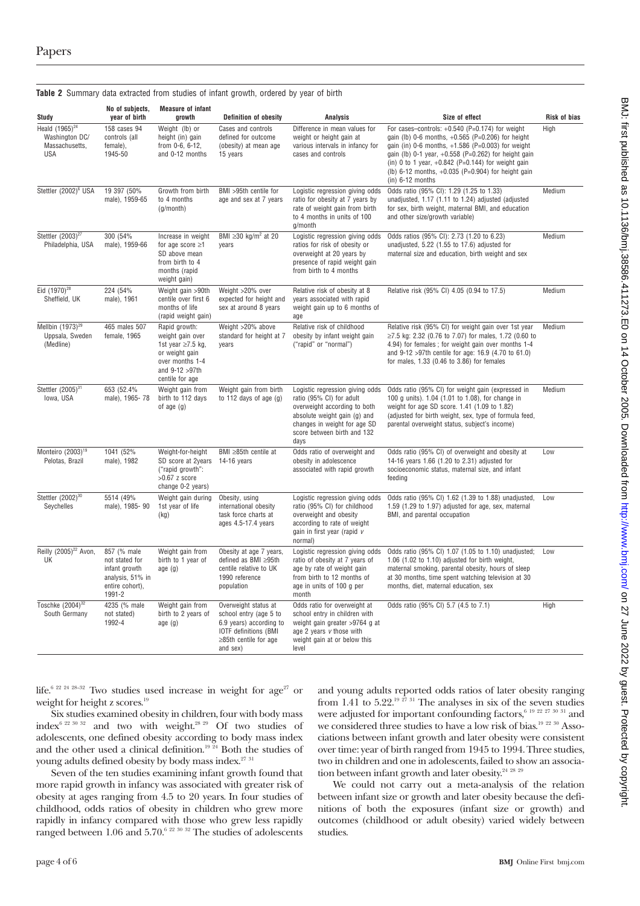| Study                                                                 | No of subjects,<br>year of birth                                                                | <b>Measure of infant</b><br>growth                                                                                                      | <b>Definition of obesity</b>                                                                                                                         | <b>Analysis</b>                                                                                                                                                                                    | Size of effect                                                                                                                                                                                                                                                                                                                                                      | <b>Risk of bias</b> |
|-----------------------------------------------------------------------|-------------------------------------------------------------------------------------------------|-----------------------------------------------------------------------------------------------------------------------------------------|------------------------------------------------------------------------------------------------------------------------------------------------------|----------------------------------------------------------------------------------------------------------------------------------------------------------------------------------------------------|---------------------------------------------------------------------------------------------------------------------------------------------------------------------------------------------------------------------------------------------------------------------------------------------------------------------------------------------------------------------|---------------------|
| Heald $(1965)^{24}$<br>Washington DC/<br>Massachusetts,<br><b>USA</b> | 158 cases 94<br>controls (all<br>female),<br>1945-50                                            | Weight (lb) or<br>height (in) gain<br>from 0-6, 6-12,<br>and 0-12 months                                                                | Cases and controls<br>defined for outcome<br>(obesity) at mean age<br>15 years                                                                       | Difference in mean values for<br>weight or height gain at<br>various intervals in infancy for<br>cases and controls                                                                                | For cases-controls: $+0.540$ (P=0.174) for weight<br>gain (lb) 0-6 months, $+0.565$ (P=0.206) for height<br>gain (in) $0-6$ months, $+1.586$ (P=0.003) for weight<br>gain (lb) 0-1 year, $+0.558$ (P=0.262) for height gain<br>(in) 0 to 1 year, $+0.842$ (P=0.144) for weight gain<br>(lb) $6-12$ months, $+0.035$ (P=0.904) for height gain<br>$(in)$ 6-12 months | High                |
| Stettler (2002) <sup>6</sup> USA                                      | 19 397 (50%<br>male), 1959-65                                                                   | Growth from birth<br>to 4 months<br>(g/month)                                                                                           | BMI >95th centile for<br>age and sex at 7 years                                                                                                      | Logistic regression giving odds<br>ratio for obesity at 7 years by<br>rate of weight gain from birth<br>to 4 months in units of 100<br>g/month                                                     | Odds ratio (95% CI): 1.29 (1.25 to 1.33)<br>unadjusted, 1.17 (1.11 to 1.24) adjusted (adjusted<br>for sex, birth weight, maternal BMI, and education<br>and other size/growth variable)                                                                                                                                                                             | Medium              |
| Stettler (2003) <sup>27</sup><br>Philadelphia, USA                    | 300 (54%<br>male), 1959-66                                                                      | Increase in weight<br>for age score $\geq$ 1<br>SD above mean<br>from birth to 4<br>months (rapid<br>weight gain)                       | BMI $\geq$ 30 kg/m <sup>2</sup> at 20<br>years                                                                                                       | Logistic regression giving odds<br>ratios for risk of obesity or<br>overweight at 20 years by<br>presence of rapid weight gain<br>from birth to 4 months                                           | Odds ratios (95% CI): 2.73 (1.20 to 6.23)<br>unadjusted, 5.22 (1.55 to 17.6) adjusted for<br>maternal size and education, birth weight and sex                                                                                                                                                                                                                      | Medium              |
| Eid $(1970)^{28}$<br>Sheffield, UK                                    | 224 (54%<br>male), 1961                                                                         | Weight gain >90th<br>centile over first 6<br>months of life<br>(rapid weight gain)                                                      | Weight >20% over<br>expected for height and<br>sex at around 8 years                                                                                 | Relative risk of obesity at 8<br>years associated with rapid<br>weight gain up to 6 months of<br>age                                                                                               | Relative risk (95% CI) 4.05 (0.94 to 17.5)                                                                                                                                                                                                                                                                                                                          | Medium              |
| Mellbin $(1973)^{29}$<br>Uppsala, Sweden<br>(Medline)                 | 465 males 507<br>female, 1965                                                                   | Rapid growth:<br>weight gain over<br>1st year $\geq$ 7.5 kg,<br>or weight gain<br>over months 1-4<br>and 9-12 > 97th<br>centile for age | Weight >20% above<br>standard for height at 7<br>years                                                                                               | Relative risk of childhood<br>obesity by infant weight gain<br>("rapid" or "normal")                                                                                                               | Relative risk (95% CI) for weight gain over 1st year<br>≥7.5 kg: 2.32 (0.76 to 7.07) for males, 1.72 (0.60 to<br>4.94) for females; for weight gain over months 1-4<br>and 9-12 > 97th centile for age: 16.9 (4.70 to 61.0)<br>for males, 1.33 (0.46 to 3.86) for females                                                                                           | Medium              |
| Stettler (2005) <sup>31</sup><br>Iowa, USA                            | 653 (52.4%<br>male), 1965-78                                                                    | Weight gain from<br>birth to 112 days<br>of age $(g)$                                                                                   | Weight gain from birth<br>to 112 days of age $(g)$                                                                                                   | Logistic regression giving odds<br>ratio (95% CI) for adult<br>overweight according to both<br>absolute weight gain (g) and<br>changes in weight for age SD<br>score between birth and 132<br>days | Odds ratio (95% CI) for weight gain (expressed in<br>100 g units). 1.04 (1.01 to 1.08), for change in<br>weight for age SD score. 1.41 (1.09 to 1.82)<br>(adjusted for birth weight, sex, type of formula feed,<br>parental overweight status, subject's income)                                                                                                    | Medium              |
| Monteiro (2003) <sup>19</sup><br>Pelotas, Brazil                      | 1041 (52%<br>male), 1982                                                                        | Weight-for-height<br>SD score at 2years<br>("rapid growth":<br>$>0.67$ z score<br>change 0-2 years)                                     | BMI ≥85th centile at<br>$14-16$ years                                                                                                                | Odds ratio of overweight and<br>obesity in adolescence<br>associated with rapid growth                                                                                                             | Odds ratio (95% CI) of overweight and obesity at<br>14-16 years 1.66 (1.20 to 2.31) adjusted for<br>socioeconomic status, maternal size, and infant<br>feeding                                                                                                                                                                                                      | Low                 |
| Stettler (2002) <sup>30</sup><br>Seychelles                           | 5514 (49%<br>male), 1985-90                                                                     | Weight gain during<br>1st year of life<br>(kg)                                                                                          | Obesity, using<br>international obesity<br>task force charts at<br>ages 4.5-17.4 years                                                               | Logistic regression giving odds<br>ratio (95% CI) for childhood<br>overweight and obesity<br>according to rate of weight<br>gain in first year (rapid v<br>normal)                                 | Odds ratio (95% CI) 1.62 (1.39 to 1.88) unadjusted,<br>1.59 (1.29 to 1.97) adjusted for age, sex, maternal<br>BMI, and parental occupation                                                                                                                                                                                                                          | Low                 |
| Reilly (2005) <sup>22</sup> Avon,<br>UK                               | 857 (% male<br>not stated for<br>infant growth<br>analysis, 51% in<br>entire cohort),<br>1991-2 | Weight gain from<br>birth to 1 year of<br>age(g)                                                                                        | Obesity at age 7 years,<br>defined as BMI ≥95th<br>centile relative to UK<br>1990 reference<br>population                                            | Logistic regression giving odds<br>ratio of obesity at 7 years of<br>age by rate of weight gain<br>from birth to 12 months of<br>age in units of 100 g per<br>month                                | Odds ratio (95% CI) 1.07 (1.05 to 1.10) unadjusted;<br>1.06 (1.02 to 1.10) adjusted for birth weight,<br>maternal smoking, parental obesity, hours of sleep<br>at 30 months, time spent watching television at 30<br>months, diet, maternal education, sex                                                                                                          | Low                 |
| Toschke (2004) <sup>32</sup><br>South Germany                         | 4235 (% male<br>not stated)<br>1992-4                                                           | Weight gain from<br>birth to 2 years of<br>age(g)                                                                                       | Overweight status at<br>school entry (age 5 to<br>6.9 years) according to<br><b>IOTF definitions (BMI</b><br>$\geq$ 85th centile for age<br>and sex) | Odds ratio for overweight at<br>school entry in children with<br>weight gain greater >9764 g at<br>age 2 years v those with<br>weight gain at or below this<br>level                               | Odds ratio (95% CI) 5.7 (4.5 to 7.1)                                                                                                                                                                                                                                                                                                                                | High                |

**Table 2** Summary data extracted from studies of infant growth, ordered by year of birth

life.<sup>6 22 24 28-32</sup> Two studies used increase in weight for  $age^{27}$  or weight for height z scores.<sup>19</sup>

Six studies examined obesity in children, four with body mass index6 22 30 32 and two with weight.28 29 Of two studies of adolescents, one defined obesity according to body mass index and the other used a clinical definition.<sup>19 24</sup> Both the studies of young adults defined obesity by body mass index.<sup>27 31</sup>

Seven of the ten studies examining infant growth found that more rapid growth in infancy was associated with greater risk of obesity at ages ranging from 4.5 to 20 years. In four studies of childhood, odds ratios of obesity in children who grew more rapidly in infancy compared with those who grew less rapidly ranged between 1.06 and 5.70.<sup>6</sup> <sup>22 30 32</sup> The studies of adolescents

and young adults reported odds ratios of later obesity ranging from 1.41 to 5.22.<sup>19  $\frac{1}{27}$  31 The analyses in six of the seven studies</sup> were adjusted for important confounding factors,  $6^{19}$   $22$   $27$   $30$   $31$  and we considered three studies to have a low risk of bias.<sup>19 22 30</sup> Associations between infant growth and later obesity were consistent over time: year of birth ranged from 1945 to 1994. Three studies, two in children and one in adolescents, failed to show an association between infant growth and later obesity. $242829$ 

We could not carry out a meta-analysis of the relation between infant size or growth and later obesity because the definitions of both the exposures (infant size or growth) and outcomes (childhood or adult obesity) varied widely between studies.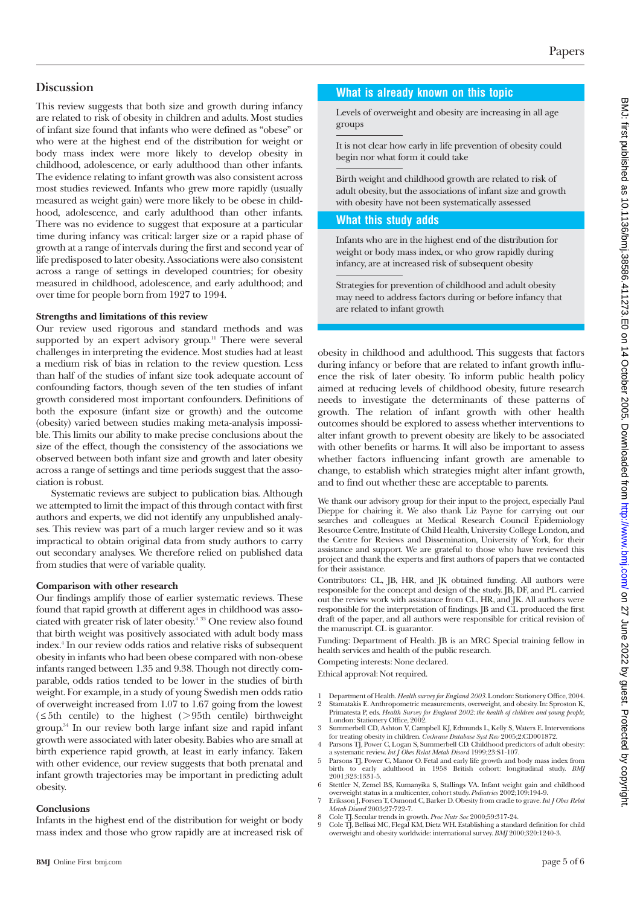# **Discussion**

This review suggests that both size and growth during infancy are related to risk of obesity in children and adults. Most studies of infant size found that infants who were defined as "obese" or who were at the highest end of the distribution for weight or body mass index were more likely to develop obesity in childhood, adolescence, or early adulthood than other infants. The evidence relating to infant growth was also consistent across most studies reviewed. Infants who grew more rapidly (usually measured as weight gain) were more likely to be obese in childhood, adolescence, and early adulthood than other infants. There was no evidence to suggest that exposure at a particular time during infancy was critical: larger size or a rapid phase of growth at a range of intervals during the first and second year of life predisposed to later obesity. Associations were also consistent across a range of settings in developed countries; for obesity measured in childhood, adolescence, and early adulthood; and over time for people born from 1927 to 1994.

## **Strengths and limitations of this review**

Our review used rigorous and standard methods and was supported by an expert advisory group.<sup>11</sup> There were several challenges in interpreting the evidence. Most studies had at least a medium risk of bias in relation to the review question. Less than half of the studies of infant size took adequate account of confounding factors, though seven of the ten studies of infant growth considered most important confounders. Definitions of both the exposure (infant size or growth) and the outcome (obesity) varied between studies making meta-analysis impossible. This limits our ability to make precise conclusions about the size of the effect, though the consistency of the associations we observed between both infant size and growth and later obesity across a range of settings and time periods suggest that the association is robust.

Systematic reviews are subject to publication bias. Although we attempted to limit the impact of this through contact with first authors and experts, we did not identify any unpublished analyses. This review was part of a much larger review and so it was impractical to obtain original data from study authors to carry out secondary analyses. We therefore relied on published data from studies that were of variable quality.

## **Comparison with other research**

Our findings amplify those of earlier systematic reviews. These found that rapid growth at different ages in childhood was associated with greater risk of later obesity.<sup>4 33</sup> One review also found that birth weight was positively associated with adult body mass index.4 In our review odds ratios and relative risks of subsequent obesity in infants who had been obese compared with non-obese infants ranged between 1.35 and 9.38. Though not directly comparable, odds ratios tended to be lower in the studies of birth weight. For example, in a study of young Swedish men odds ratio of overweight increased from 1.07 to 1.67 going from the lowest  $( \leq 5th$  centile) to the highest ( $> 95th$  centile) birthweight group.34 In our review both large infant size and rapid infant growth were associated with later obesity. Babies who are small at birth experience rapid growth, at least in early infancy. Taken with other evidence, our review suggests that both prenatal and infant growth trajectories may be important in predicting adult obesity.

## **Conclusions**

Infants in the highest end of the distribution for weight or body mass index and those who grow rapidly are at increased risk of

# **What is already known on this topic**

Levels of overweight and obesity are increasing in all age groups

It is not clear how early in life prevention of obesity could begin nor what form it could take

Birth weight and childhood growth are related to risk of adult obesity, but the associations of infant size and growth with obesity have not been systematically assessed

## **What this study adds**

Infants who are in the highest end of the distribution for weight or body mass index, or who grow rapidly during infancy, are at increased risk of subsequent obesity

Strategies for prevention of childhood and adult obesity may need to address factors during or before infancy that are related to infant growth

obesity in childhood and adulthood. This suggests that factors during infancy or before that are related to infant growth influence the risk of later obesity. To inform public health policy aimed at reducing levels of childhood obesity, future research needs to investigate the determinants of these patterns of growth. The relation of infant growth with other health outcomes should be explored to assess whether interventions to alter infant growth to prevent obesity are likely to be associated with other benefits or harms. It will also be important to assess whether factors influencing infant growth are amenable to change, to establish which strategies might alter infant growth, and to find out whether these are acceptable to parents.

We thank our advisory group for their input to the project, especially Paul Dieppe for chairing it. We also thank Liz Payne for carrying out our searches and colleagues at Medical Research Council Epidemiology Resource Centre, Institute of Child Health, University College London, and the Centre for Reviews and Dissemination, University of York, for their assistance and support. We are grateful to those who have reviewed this project and thank the experts and first authors of papers that we contacted for their assistance.

Contributors: CL, JB, HR, and JK obtained funding. All authors were responsible for the concept and design of the study. JB, DF, and PL carried out the review work with assistance from CL, HR, and JK. All authors were responsible for the interpretation of findings. JB and CL produced the first draft of the paper, and all authors were responsible for critical revision of the manuscript. CL is guarantor.

Funding: Department of Health. JB is an MRC Special training fellow in health services and health of the public research.

Competing interests: None declared. Ethical approval: Not required.

- 1 Department of Health. *Health survey for England 2003*. London: Stationery Office, 2004. 2 Stamatakis E. Anthropometric measurements, overweight, and obesity. In: Sproston K, Primatesta P, eds. *Health Survey for England 2002: the health of children and young people*,
- London: Stationery Office, 2002. 3 Summerbell CD, Ashton V, Campbell KJ, Edmunds L, Kelly S, Waters E. Interventions for treating obesity in children. *Cochrane Database Syst Rev* 2005;2:CD001872.
- 4 Parsons TJ, Power C, Logan S, Summerbell CD. Childhood predictors of adult obesity: a systematic review. *Int J Obes Relat Metab Disord* 1999;23:S1-107.
- 5 Parsons TJ, Power C, Manor O. Fetal and early life growth and body mass index from birth to early adulthood in 1958 British cohort: longitudinal study. *BMJ* 2001;323:1331-5.
- 6 Stettler N, Zemel BS, Kumanyika S, Stallings VA. Infant weight gain and childhood
- overweight status in a multicenter, cohort study. *Pediatrics* 2002;109:194-9. 7 Eriksson J, Forsen T, Osmond C, Barker D. Obesity from cradle to grave. *Int J Obes Relat Metab Disord* 2003;27:722-7.
- 
- 8 Cole TJ. Secular trends in growth. *Proc Nutr Soc* 2000;59:317-24. 9 Cole TJ, Belliszi MC, Flegal KM, Dietz WH. Establishing a standard definition for child overweight and obesity worldwide: international survey. *BMJ* 2000;320:1240-3.